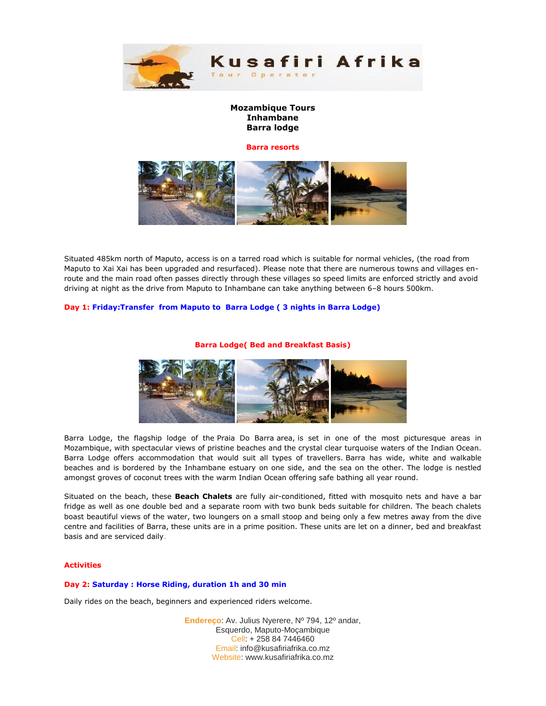

# **Mozambique Tours Inhambane Barra lodge**

#### **Barra resorts**



Situated 485km north of Maputo, access is on a tarred road which is suitable for normal vehicles, (the road from Maputo to Xai Xai has been upgraded and resurfaced). Please note that there are numerous towns and villages enroute and the main road often passes directly through these villages so speed limits are enforced strictly and avoid driving at night as the drive from Maputo to Inhambane can take anything between 6–8 hours 500km.

## **Day 1: Friday:Transfer from Maputo to Barra Lodge ( 3 nights in Barra Lodge)**

#### **Barra Lodge( Bed and Breakfast Basis)**



Barra Lodge, the flagship lodge of the Praia Do Barra area, is set in one of the most picturesque areas in Mozambique, with spectacular views of pristine beaches and the crystal clear turquoise waters of the Indian Ocean. Barra Lodge offers accommodation that would suit all types of travellers. Barra has wide, white and walkable beaches and is bordered by the Inhambane estuary on one side, and the sea on the other. The lodge is nestled amongst groves of coconut trees with the warm Indian Ocean offering safe bathing all year round.

Situated on the beach, these **Beach Chalets** are fully air-conditioned, fitted with mosquito nets and have a bar fridge as well as one double bed and a separate room with two bunk beds suitable for children. The beach chalets boast beautiful views of the water, two loungers on a small stoop and being only a few metres away from the dive centre and facilities of Barra, these units are in a prime position. These units are let on a dinner, bed and breakfast basis and are serviced daily.

### **Activities**

### **Day 2: Saturday : Horse Riding, duration 1h and 30 min**

Daily rides on the beach, beginners and experienced riders welcome.

**Endereço**: Av. Julius Nyerere, Nº 794, 12º andar, Esquerdo, Maputo-Moçambique Cell: + 258 84 7446460 Email: info@kusafiriafrika.co.mz Website: www.kusafiriafrika.co.mz